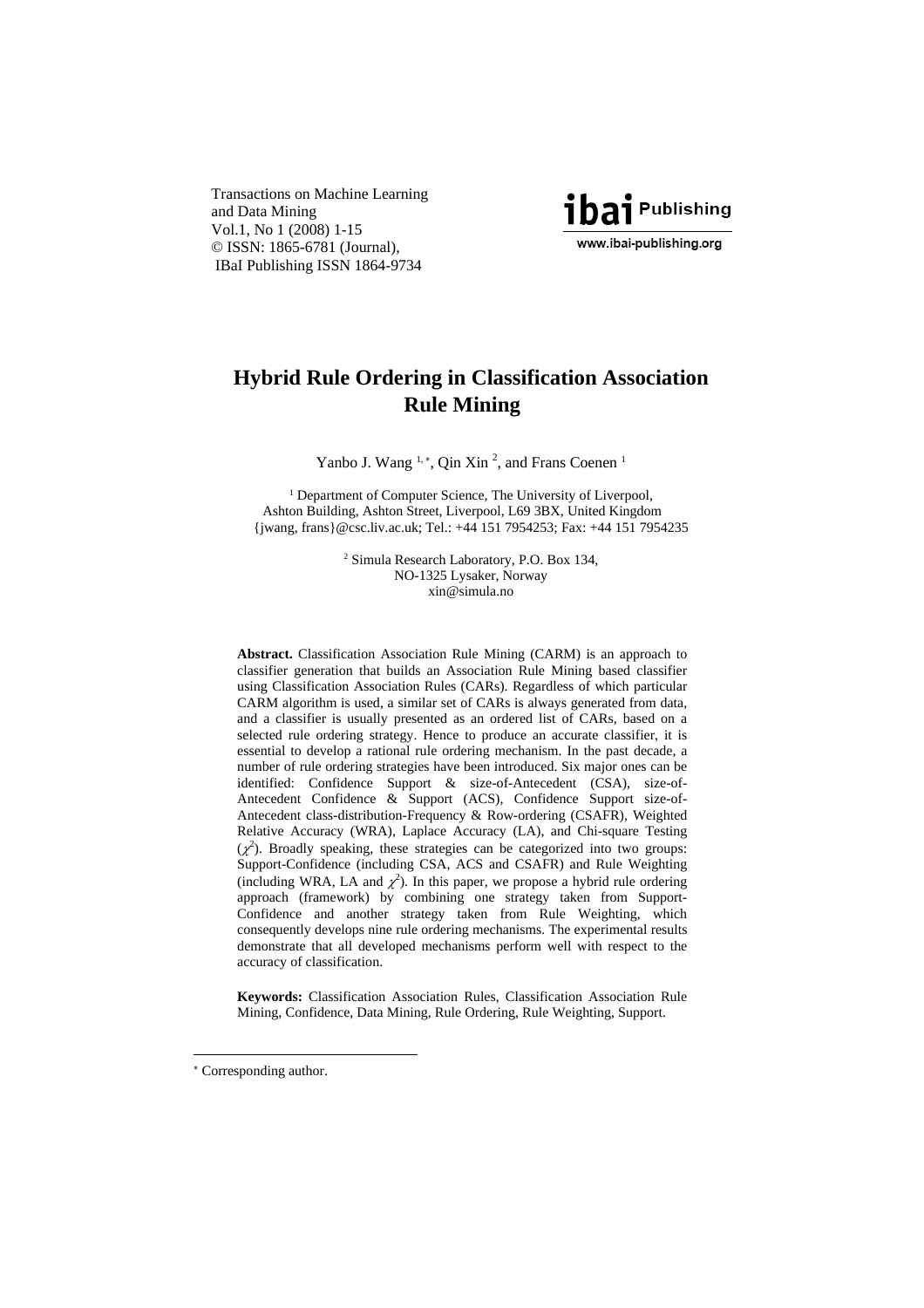Transactions on Machine Learning and Data Mining Vol.1, No 1 (2008) 1-15 © ISSN: 1865-6781 (Journal), IBaI Publishing ISSN 1864-9734



# **Hybrid Rule Ordering in Classification Association Rule Mining**

Yanbo J. Wang <sup>1,\*</sup>, Qin Xin<sup>2</sup>, and Frans Coenen<sup>1</sup>

<sup>1</sup> Department of Computer Science, The University of Liverpool, Ashton Building, Ashton Street, Liverpool, L69 3BX, United Kingdom {jwang, frans}@csc.liv.ac.uk; Tel.: +44 151 7954253; Fax: +44 151 7954235

> 2 Simula Research Laboratory, P.O. Box 134, NO-1325 Lysaker, Norway xin@simula.no

**Abstract.** Classification Association Rule Mining (CARM) is an approach to classifier generation that builds an Association Rule Mining based classifier using Classification Association Rules (CARs). Regardless of which particular CARM algorithm is used, a similar set of CARs is always generated from data, and a classifier is usually presented as an ordered list of CARs, based on a selected rule ordering strategy. Hence to produce an accurate classifier, it is essential to develop a rational rule ordering mechanism. In the past decade, a number of rule ordering strategies have been introduced. Six major ones can be identified: Confidence Support & size-of-Antecedent (CSA), size-of-Antecedent Confidence & Support (ACS), Confidence Support size-of-Antecedent class-distribution-Frequency & Row-ordering (CSAFR), Weighted Relative Accuracy (WRA), Laplace Accuracy (LA), and Chi-square Testing  $(\chi^2)$ . Broadly speaking, these strategies can be categorized into two groups: Support-Confidence (including CSA, ACS and CSAFR) and Rule Weighting (including WRA, LA and  $\chi^2$ ). In this paper, we propose a hybrid rule ordering approach (framework) by combining one strategy taken from Support-Confidence and another strategy taken from Rule Weighting, which consequently develops nine rule ordering mechanisms. The experimental results demonstrate that all developed mechanisms perform well with respect to the accuracy of classification.

**Keywords:** Classification Association Rules, Classification Association Rule Mining, Confidence, Data Mining, Rule Ordering, Rule Weighting, Support.

l

<span id="page-0-0"></span><sup>∗</sup> Corresponding author.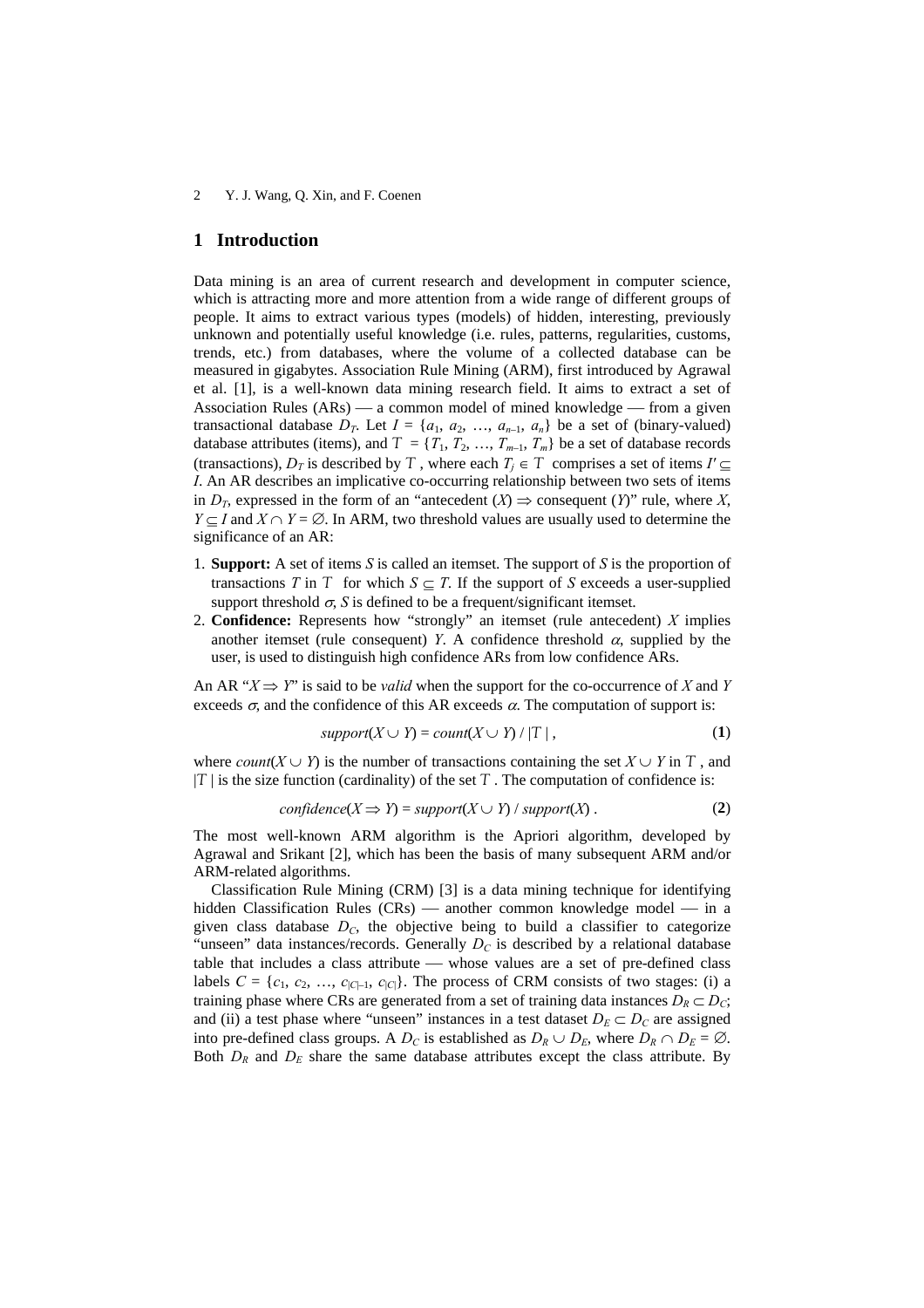### **1 Introduction**

Data mining is an area of current research and development in computer science, which is attracting more and more attention from a wide range of different groups of people. It aims to extract various types (models) of hidden, interesting, previously unknown and potentially useful knowledge (i.e. rules, patterns, regularities, customs, trends, etc.) from databases, where the volume of a collected database can be measured in gigabytes. Association Rule Mining (ARM), first introduced by Agrawal et al. [\[1\]](#page-12-0), is a well-known data mining research field. It aims to extract a set of Association Rules  $(ARs)$  — a common model of mined knowledge — from a given transactional database  $D_T$ . Let  $I = \{a_1, a_2, ..., a_{n-1}, a_n\}$  be a set of (binary-valued) database attributes (items), and  $T = \{T_1, T_2, ..., T_{m-1}, T_m\}$  be a set of database records (transactions),  $D_T$  is described by *T*, where each  $T_j \in T$  comprises a set of items  $I' \subseteq T$ *I*. An AR describes an implicative co-occurring relationship between two sets of items in  $D_T$ , expressed in the form of an "antecedent  $(X) \implies$  consequent  $(Y)$ " rule, where X, *Y*  $\subseteq$  *I* and *X*  $\cap$  *Y* =  $\emptyset$ . In ARM, two threshold values are usually used to determine the significance of an AR:

- 1. **Support:** A set of items *S* is called an itemset. The support of *S* is the proportion of transactions *T* in *T* for which  $S \subset T$ . If the support of *S* exceeds a user-supplied support threshold  $\sigma$ , *S* is defined to be a frequent/significant itemset.
- 2. **Confidence:** Represents how "strongly" an itemset (rule antecedent) *X* implies another itemset (rule consequent) *Y*. A confidence threshold  $\alpha$ , supplied by the user, is used to distinguish high confidence ARs from low confidence ARs.

An AR " $X \Rightarrow Y$ " is said to be *valid* when the support for the co-occurrence of *X* and *Y* exceeds  $\sigma$ , and the confidence of this AR exceeds  $\alpha$ . The computation of support is:

$$
support(X \cup Y) = count(X \cup Y) / |T|,
$$
\n(1)

where *count*( $X \cup Y$ ) is the number of transactions containing the set  $X \cup Y$  in  $T$ , and  $|T|$  is the size function (cardinality) of the set  $T$ . The computation of confidence is:

$$
confidence(X \implies Y) = support(X \cup Y) / support(X). \tag{2}
$$

The most well-known ARM algorithm is the Apriori algorithm, developed by Agrawal and Srikant [\[2\]](#page-12-1), which has been the basis of many subsequent ARM and/or ARM-related algorithms.

Classification Rule Mining (CRM) [\[3\]](#page-12-2) is a data mining technique for identifying hidden Classification Rules  $(CRs)$  — another common knowledge model — in a given class database  $D_{\text{C}}$ , the objective being to build a classifier to categorize "unseen" data instances/records. Generally  $D<sub>C</sub>$  is described by a relational database table that includes a class attribute  $-$  whose values are a set of pre-defined class labels  $C = \{c_1, c_2, ..., c_{|C|-1}, c_{|C|}\}\$ . The process of CRM consists of two stages: (i) a training phase where CRs are generated from a set of training data instances  $D_R \subset D_C$ ; and (ii) a test phase where "unseen" instances in a test dataset  $D_E \subset D_C$  are assigned into pre-defined class groups. A  $D_C$  is established as  $D_R \cup D_E$ , where  $D_R \cap D_E = \emptyset$ . Both  $D_R$  and  $D_E$  share the same database attributes except the class attribute. By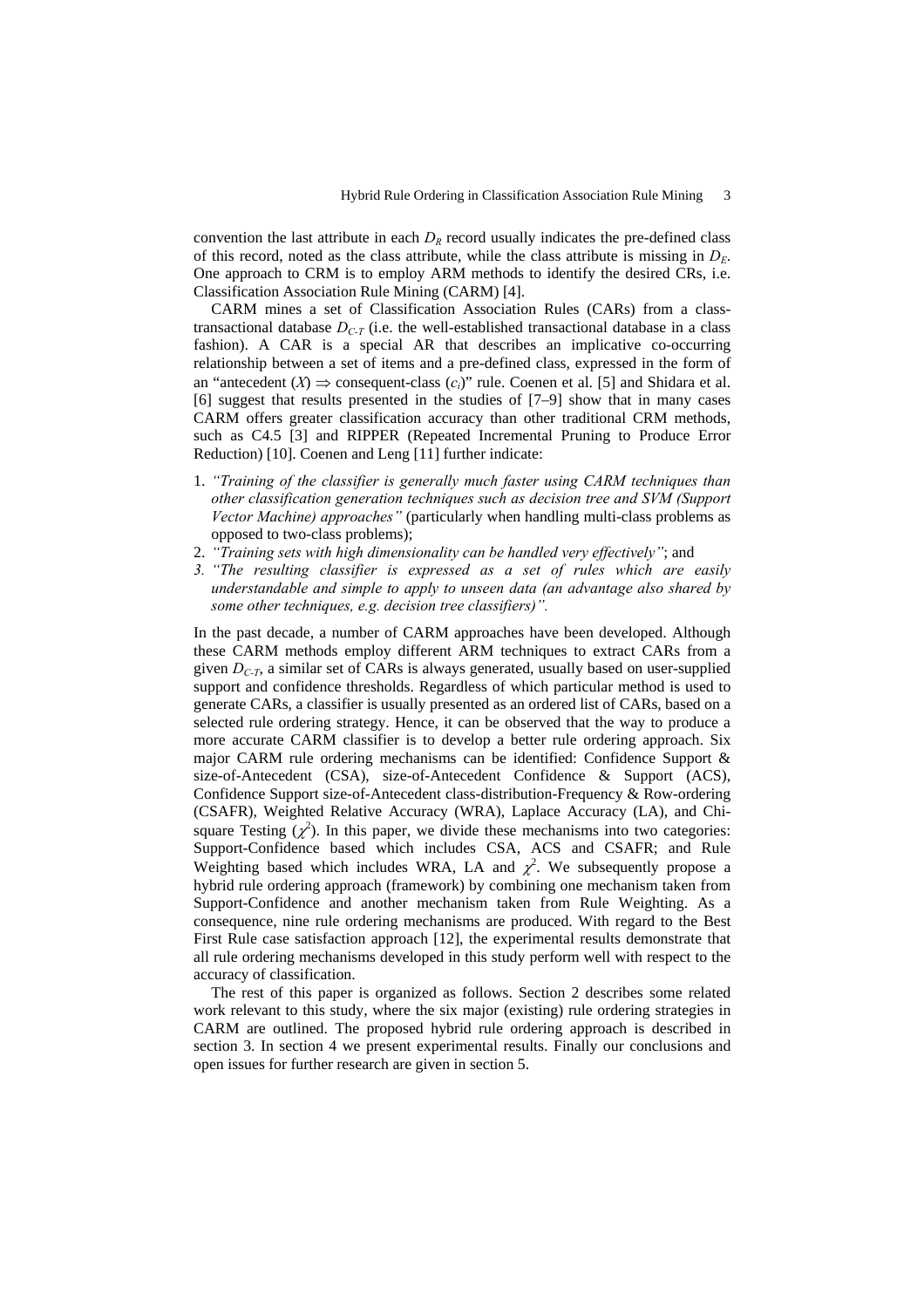convention the last attribute in each  $D_R$  record usually indicates the pre-defined class of this record, noted as the class attribute, while the class attribute is missing in  $D<sub>E</sub>$ . One approach to CRM is to employ ARM methods to identify the desired CRs, i.e. Classification Association Rule Mining (CARM) [\[4\]](#page-12-3).

CARM mines a set of Classification Association Rules (CARs) from a classtransactional database  $D_{C-T}$  (i.e. the well-established transactional database in a class fashion). A CAR is a special AR that describes an implicative co-occurring relationship between a set of items and a pre-defined class, expressed in the form of an "antecedent  $(X) \Rightarrow$  consequent-class  $(c_i)$ " rule. Coenen et al. [\[5\]](#page-12-4) and Shidara et al. [\[6\]](#page-12-5) suggest that results presented in the studies of [[7–](#page-12-6)[9\]](#page-12-7) show that in many cases CARM offers greater classification accuracy than other traditional CRM methods, such as C4.5 [[3\]](#page-12-2) and RIPPER (Repeated Incremental Pruning to Produce Error Reduction) [\[10\]](#page-12-8). Coenen and Leng [\[11\]](#page-12-9) further indicate:

- 1. *"Training of the classifier is generally much faster using CARM techniques than other classification generation techniques such as decision tree and SVM (Support Vector Machine) approaches"* (particularly when handling multi-class problems as opposed to two-class problems);
- 2. *"Training sets with high dimensionality can be handled very effectively"*; and
- *3. "The resulting classifier is expressed as a set of rules which are easily understandable and simple to apply to unseen data (an advantage also shared by some other techniques, e.g. decision tree classifiers)".*

In the past decade, a number of CARM approaches have been developed. Although these CARM methods employ different ARM techniques to extract CARs from a given  $D_{C,T}$ , a similar set of CARs is always generated, usually based on user-supplied support and confidence thresholds. Regardless of which particular method is used to generate CARs, a classifier is usually presented as an ordered list of CARs, based on a selected rule ordering strategy. Hence, it can be observed that the way to produce a more accurate CARM classifier is to develop a better rule ordering approach. Six major CARM rule ordering mechanisms can be identified: Confidence Support & size-of-Antecedent (CSA), size-of-Antecedent Confidence & Support (ACS), Confidence Support size-of-Antecedent class-distribution-Frequency & Row-ordering (CSAFR), Weighted Relative Accuracy (WRA), Laplace Accuracy (LA), and Chisquare Testing  $(\chi^2)$ . In this paper, we divide these mechanisms into two categories: Support-Confidence based which includes CSA, ACS and CSAFR; and Rule Weighting based which includes WRA, LA and  $\chi^2$ . We subsequently propose a hybrid rule ordering approach (framework) by combining one mechanism taken from Support-Confidence and another mechanism taken from Rule Weighting. As a consequence, nine rule ordering mechanisms are produced. With regard to the Best First Rule case satisfaction approach [12], the experimental results demonstrate that all rule ordering mechanisms develope[d in](#page-12-10) this study perform well with respect to the accuracy of classification.

The rest of this paper is organized as follows. Section 2 describes some related work relevant to this study, where the six major (existing) rule ordering strategies in CARM are outlined. The proposed hybrid rule ordering approach is described in section 3. In section 4 we present experimental results. Finally our conclusions and open issues for further research are given in section 5.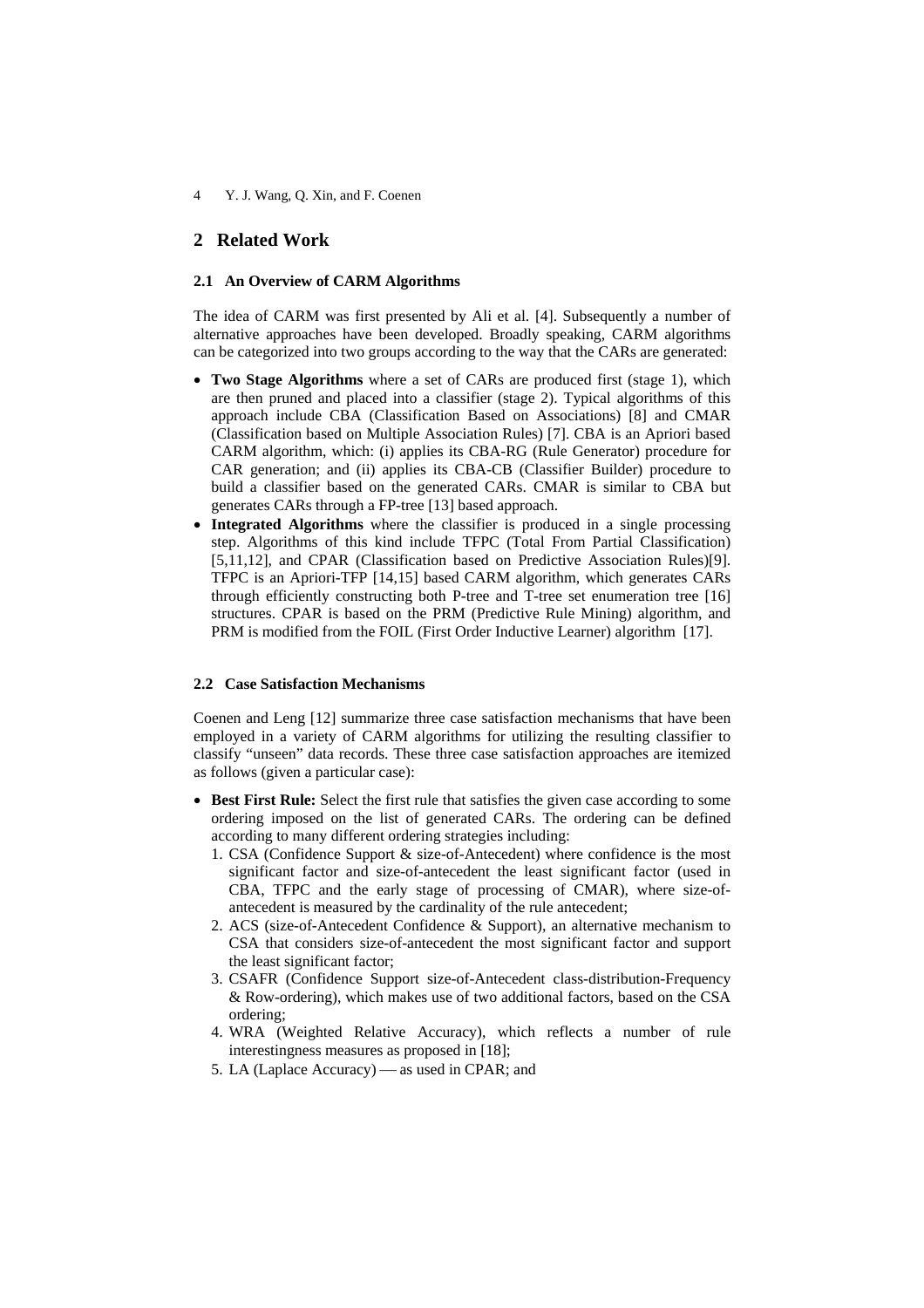#### **2 Related Work**

#### **2.1 An Overview of CARM Algorithms**

The idea of CARM was first presented by Ali et al. [\[4\]](#page-12-3). Subsequently a number of alternative approaches have been developed. Broadly speaking, CARM algorithms can be categorized into two groups according to the way that the CARs are generated:

- **Two Stage Algorithms** where a set of CARs are produced first (stage 1), which are then pruned and placed into a classifier (stage 2). Typical algorithms of this approach include CBA (Classification Based on Associations) [[8\]](#page-12-11) and CMAR (Classification based on Multiple Association Rules) [[7\]](#page-12-6). CBA is an Apriori based CARM algorithm, which: (i) applies its CBA-RG (Rule Generator) procedure for CAR generation; and (ii) applies its CBA-CB (Classifier Builder) procedure to build a classifier based on the generated CARs. CMAR is similar to CBA but generates CARs through a FP-tree [\[13\]](#page-12-12) based approach.
- Integrated Algorithms where the classifier is produced in a single processing step. Algorithms of this kind include TFPC (Total From Partial Classification) [\[5](#page-12-4)[,11,](#page-12-9)[12\]](#page-12-10), and CPAR (Classification based on Predictive Association Rules)[\[9\]](#page-12-7). TFPC is an Apriori-TFP [\[14,](#page-13-0)[15\]](#page-13-1) based CARM algorithm, which generates CARs through efficiently constructing both P-tree and T-tree set enumeration tree [\[16\]](#page-13-2) structures. CPAR is based on the PRM (Predictive Rule Mining) algorithm, and PRM is modified from the FOIL (First Order Inductive Learner) algorithm [\[17\]](#page-13-3).

#### **2.2 Case Satisfaction Mechanisms**

Coenen and Leng [\[12\]](#page-12-10) summarize three case satisfaction mechanisms that have been employed in a variety of CARM algorithms for utilizing the resulting classifier to classify "unseen" data records. These three case satisfaction approaches are itemized as follows (given a particular case):

- **Best First Rule:** Select the first rule that satisfies the given case according to some ordering imposed on the list of generated CARs. The ordering can be defined according to many different ordering strategies including:
	- 1. CSA (Confidence Support & size-of-Antecedent) where confidence is the most significant factor and size-of-antecedent the least significant factor (used in CBA, TFPC and the early stage of processing of CMAR), where size-ofantecedent is measured by the cardinality of the rule antecedent;
	- 2. ACS (size-of-Antecedent Confidence & Support), an alternative mechanism to CSA that considers size-of-antecedent the most significant factor and support the least significant factor;
	- 3. CSAFR (Confidence Support size-of-Antecedent class-distribution-Frequency & Row-ordering), which makes use of two additional factors, based on the CSA ordering;
	- 4. WRA (Weighted Relative Accuracy), which reflects a number of rule interestingness measures as proposed in [\[18\]](#page-13-4);
	- 5. LA (Laplace Accuracy) as used in CPAR; and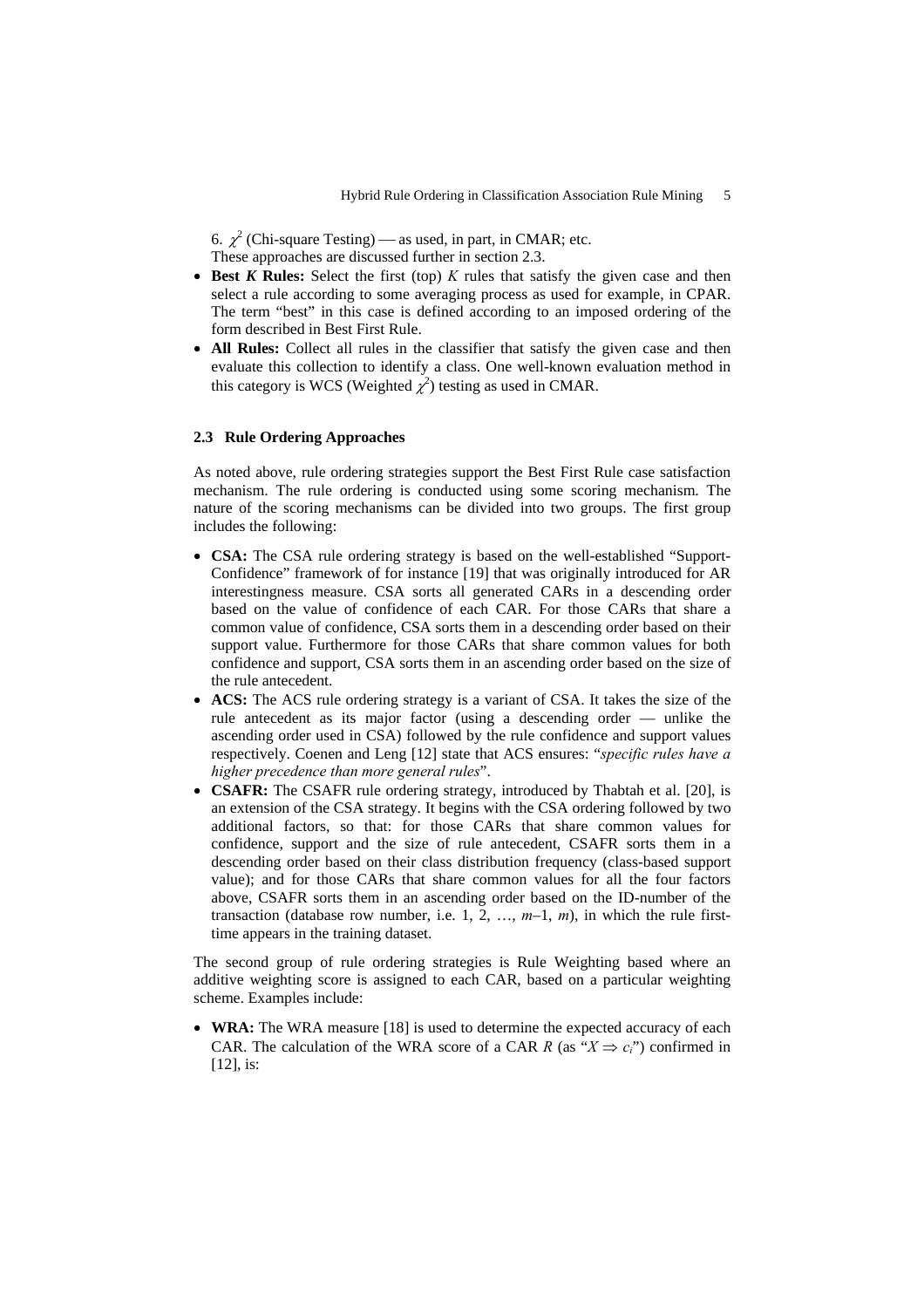6.  $\chi^2$  (Chi-square Testing) — as used, in part, in CMAR; etc.

These approaches are discussed further in section 2.3.

- **Best** *K* **Rules:** Select the first (top) *K* rules that satisfy the given case and then select a rule according to some averaging process as used for example, in CPAR. The term "best" in this case is defined according to an imposed ordering of the form described in Best First Rule.
- All Rules: Collect all rules in the classifier that satisfy the given case and then evaluate this collection to identify a class. One well-known evaluation method in this category is WCS (Weighted  $\chi^2$ ) testing as used in CMAR.

#### **2.3 Rule Ordering Approaches**

As noted above, rule ordering strategies support the Best First Rule case satisfaction mechanism. The rule ordering is conducted using some scoring mechanism. The nature of the scoring mechanisms can be divided into two groups. The first group includes the following:

- **CSA:** The CSA rule ordering strategy is based on the well-established "Support-Confidence" framework of for instance [[19\]](#page-13-5) that was originally introduced for AR interestingness measure. CSA sorts all generated CARs in a descending order based on the value of confidence of each CAR. For those CARs that share a common value of confidence, CSA sorts them in a descending order based on their support value. Furthermore for those CARs that share common values for both confidence and support, CSA sorts them in an ascending order based on the size of the rule antecedent.
- **ACS:** The ACS rule ordering strategy is a variant of CSA. It takes the size of the rule antecedent as its major factor (using a descending order — unlike the ascending order used in CSA) followed by the rule confidence and support values respectively. Coenen and Leng [\[12\]](#page-12-10) state that ACS ensures: "*specific rules have a higher precedence than more general rules*".
- **CSAFR:** The CSAFR rule ordering strategy, introduced by Thabtah et al. [[20\]](#page-13-6), is an extension of the CSA strategy. It begins with the CSA ordering followed by two additional factors, so that: for those CARs that share common values for confidence, support and the size of rule antecedent, CSAFR sorts them in a descending order based on their class distribution frequency (class-based support value); and for those CARs that share common values for all the four factors above, CSAFR sorts them in an ascending order based on the ID-number of the transaction (database row number, i.e. 1, 2, ...,  $m-1$ ,  $m$ ), in which the rule firsttime appears in the training dataset.

The second group of rule ordering strategies is Rule Weighting based where an additive weighting score is assigned to each CAR, based on a particular weighting scheme. Examples include:

• **WRA:** The WRA measure [\[18\]](#page-13-4) is used to determine the expected accuracy of each CAR. The calculation of the WRA score of a CAR *R* (as " $X \Rightarrow c_i$ ") confirmed in [\[12\]](#page-12-10), is: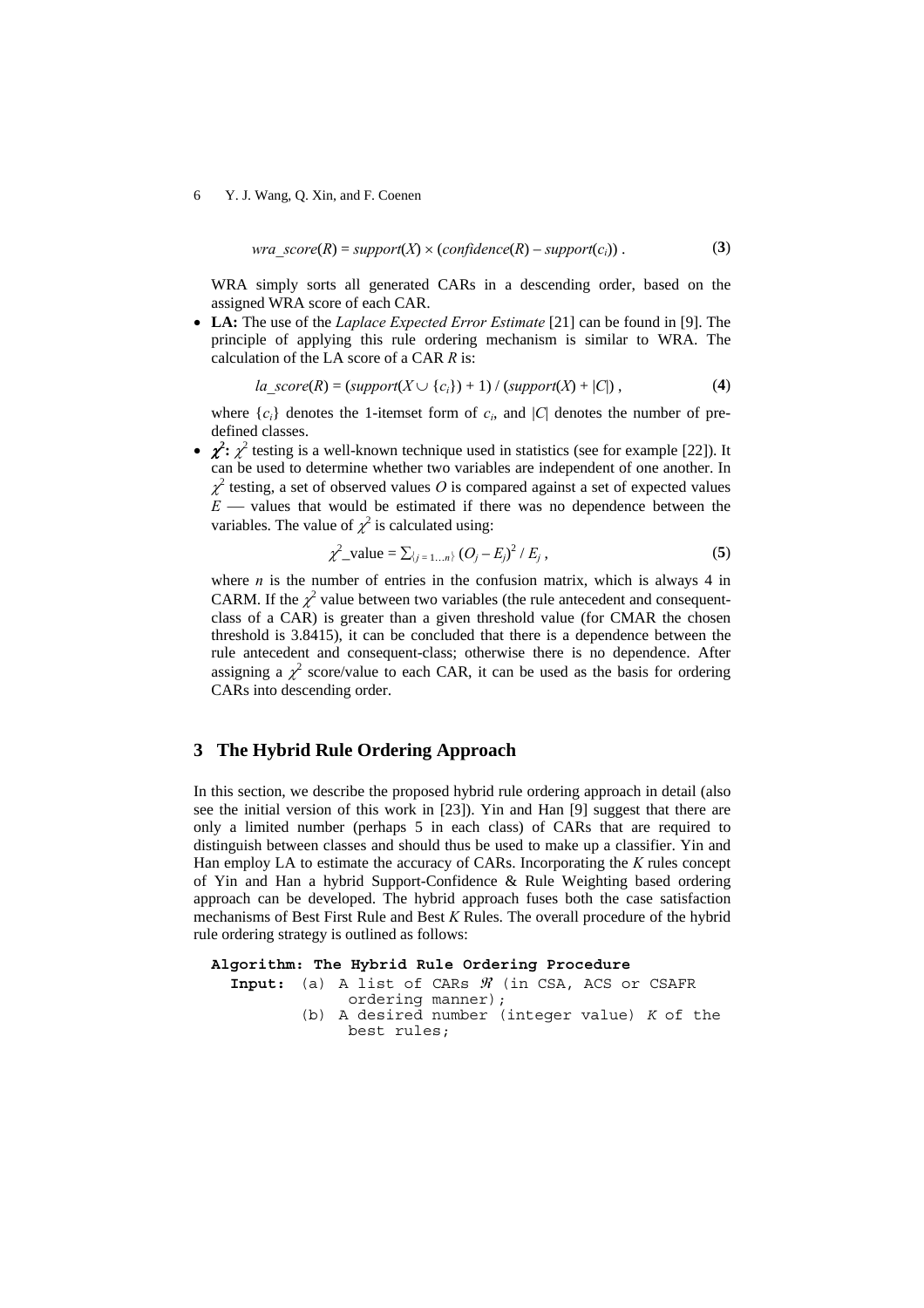$$
wra\_score(R) = support(X) \times (confidence(R) - support(c_i)).
$$
 (3)

WRA simply sorts all generated CARs in a descending order, based on the assigned WRA score of each CAR.

• **LA:** The use of the *Laplace Expected Error Estimate* [[21\]](#page-13-7) can be found in [[9\]](#page-12-7). The principle of applying this rule ordering mechanism is similar to WRA. The calculation of the LA score of a CAR *R* is:

$$
la\_score(R) = (support(X \cup \{c_i\}) + 1) / (support(X) + |C|),
$$
\n(4)

where  $\{c_i\}$  denotes the 1-itemset form of  $c_i$ , and  $|C|$  denotes the number of predefined classes.

•  $\chi^2$ :  $\chi^2$  testing is a well-known technique used in statistics (see for example [[22\]](#page-13-8)). It can be used to determine whether two variables are independent of one another. In  $\chi^2$  testing, a set of observed values O is compared against a set of expected values  $E$   $-$  values that would be estimated if there was no dependence between the variables. The value of  $\chi^2$  is calculated using:

$$
\chi^2_{\text{value}} = \sum_{\{j=1...n\}} (O_j - E_j)^2 / E_j, \qquad (5)
$$

where  $n$  is the number of entries in the confusion matrix, which is always  $4$  in CARM. If the  $\chi^2$  value between two variables (the rule antecedent and consequentclass of a CAR) is greater than a given threshold value (for CMAR the chosen threshold is 3.8415), it can be concluded that there is a dependence between the rule antecedent and consequent-class; otherwise there is no dependence. After assigning a  $\chi^2$  score/value to each CAR, it can be used as the basis for ordering CARs into descending order.

## **3 The Hybrid Rule Ordering Approach**

In this section, we describe the proposed hybrid rule ordering approach in detail (also see the initial version of this work in [[23\]](#page-13-9)). Yin and Han [\[9\]](#page-12-7) suggest that there are only a limited number (perhaps 5 in each class) of CARs that are required to distinguish between classes and should thus be used to make up a classifier. Yin and Han employ LA to estimate the accuracy of CARs. Incorporating the *K* rules concept of Yin and Han a hybrid Support-Confidence & Rule Weighting based ordering approach can be developed. The hybrid approach fuses both the case satisfaction mechanisms of Best First Rule and Best *K* Rules. The overall procedure of the hybrid rule ordering strategy is outlined as follows:

```
Algorithm: The Hybrid Rule Ordering Procedure 
   Input: (a) A list of CARs ℜ (in CSA, ACS or CSAFR 
                ordering manner); 
           (b) A desired number (integer value) K of the 
                best rules;
```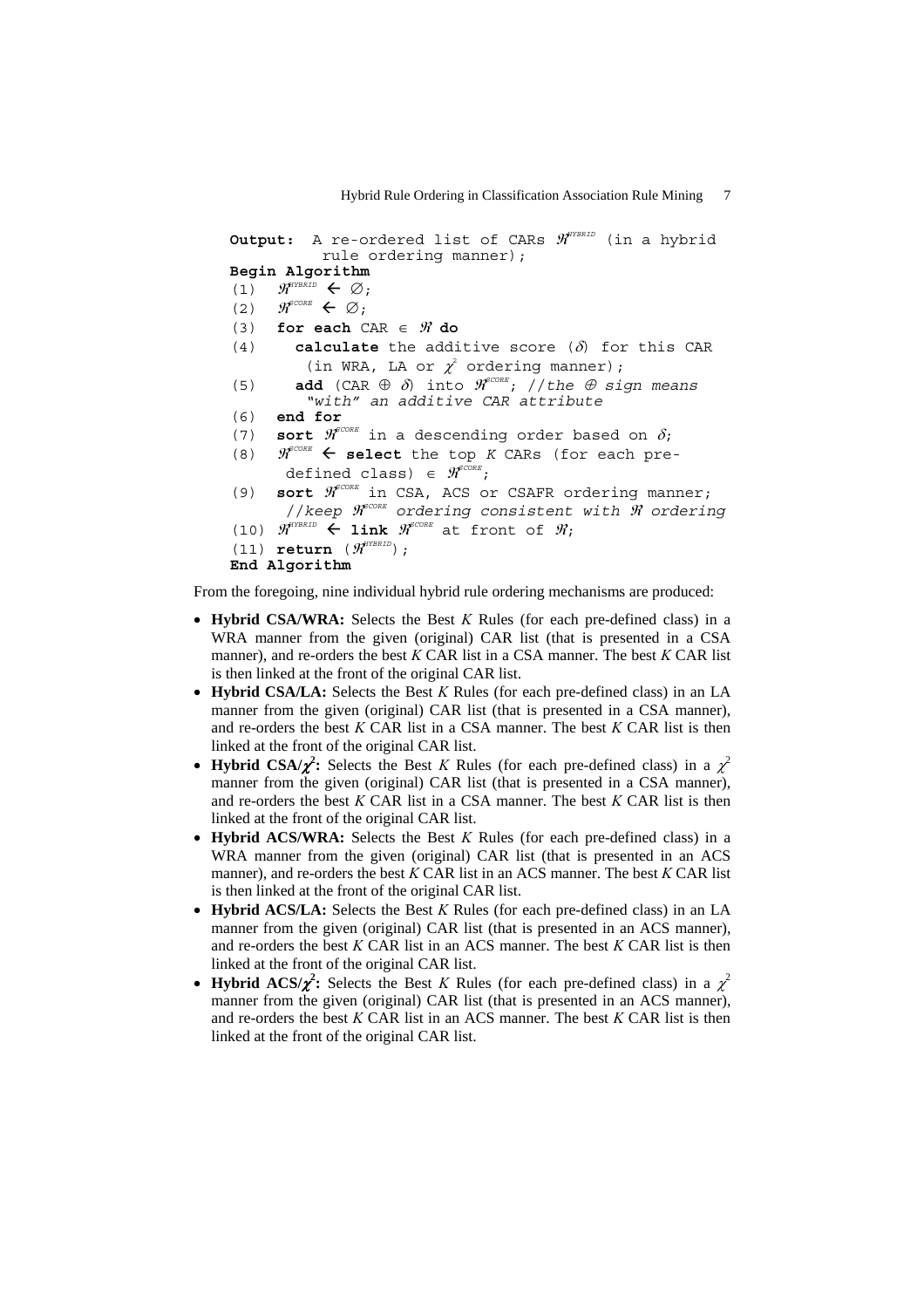```
Output: A re-ordered list of CARs ℜHYBRID (in a hybrid 
               rule ordering manner); 
Begin Algorithm 
(1) \mathcal{H}^{\text{HYBRID}} \leftarrow \varnothing;
(2) \mathcal{R}^{\text{SCORE}} \leftarrow \emptyset;
(3) for each CAR ∈ ℜ do
(4) calculate the additive score (\delta) for this CAR
(in WRA, LA or \chi^2 ordering manner);
(5) add (CAR \oplus \delta) into \mathcal{H}^{\text{CCORE}}; //the \oplus sign means
             "with" an additive CAR attribute 
(6) end for
(7) sort \mathcal{R}^{\text{CORE}} in a descending order based on \delta;
(8) ℜSCORE Å select the top K CARs (for each pre- 
\text{defined class}) \in \mathscr{H}^{\text{CORE}};
(9) sort \mathcal{H}^{\text{CORE}} in CSA, ACS or CSAFR ordering manner;
         //keep ℜSCORE ordering consistent with ℜ ordering
(10) \mathcal{H}^{\text{HYBRID}} \leftarrow link \mathcal{H}^{\text{SCORE}} at front of \mathcal{H};
(11) return (\mathcal{H}^{HYBRID});
End Algorithm
```
From the foregoing, nine individual hybrid rule ordering mechanisms are produced:

- **Hybrid CSA/WRA:** Selects the Best *K* Rules (for each pre-defined class) in a WRA manner from the given (original) CAR list (that is presented in a CSA manner), and re-orders the best *K* CAR list in a CSA manner. The best *K* CAR list is then linked at the front of the original CAR list.
- **Hybrid CSA/LA:** Selects the Best *K* Rules (for each pre-defined class) in an LA manner from the given (original) CAR list (that is presented in a CSA manner). and re-orders the best *K* CAR list in a CSA manner. The best *K* CAR list is then linked at the front of the original CAR list.
- **Hybrid CSA/** $\chi^2$ **:** Selects the Best *K* Rules (for each pre-defined class) in a  $\chi^2$ manner from the given (original) CAR list (that is presented in a CSA manner), and re-orders the best *K* CAR list in a CSA manner. The best *K* CAR list is then linked at the front of the original CAR list.
- **Hybrid ACS/WRA:** Selects the Best *K* Rules (for each pre-defined class) in a WRA manner from the given (original) CAR list (that is presented in an ACS manner), and re-orders the best *K* CAR list in an ACS manner. The best *K* CAR list is then linked at the front of the original CAR list.
- **Hybrid ACS/LA:** Selects the Best *K* Rules (for each pre-defined class) in an LA manner from the given (original) CAR list (that is presented in an ACS manner), and re-orders the best *K* CAR list in an ACS manner. The best *K* CAR list is then linked at the front of the original CAR list.
- **Hybrid ACS/** $\chi^2$ **:** Selects the Best *K* Rules (for each pre-defined class) in a  $\chi^2$ manner from the given (original) CAR list (that is presented in an ACS manner), and re-orders the best *K* CAR list in an ACS manner. The best *K* CAR list is then linked at the front of the original CAR list.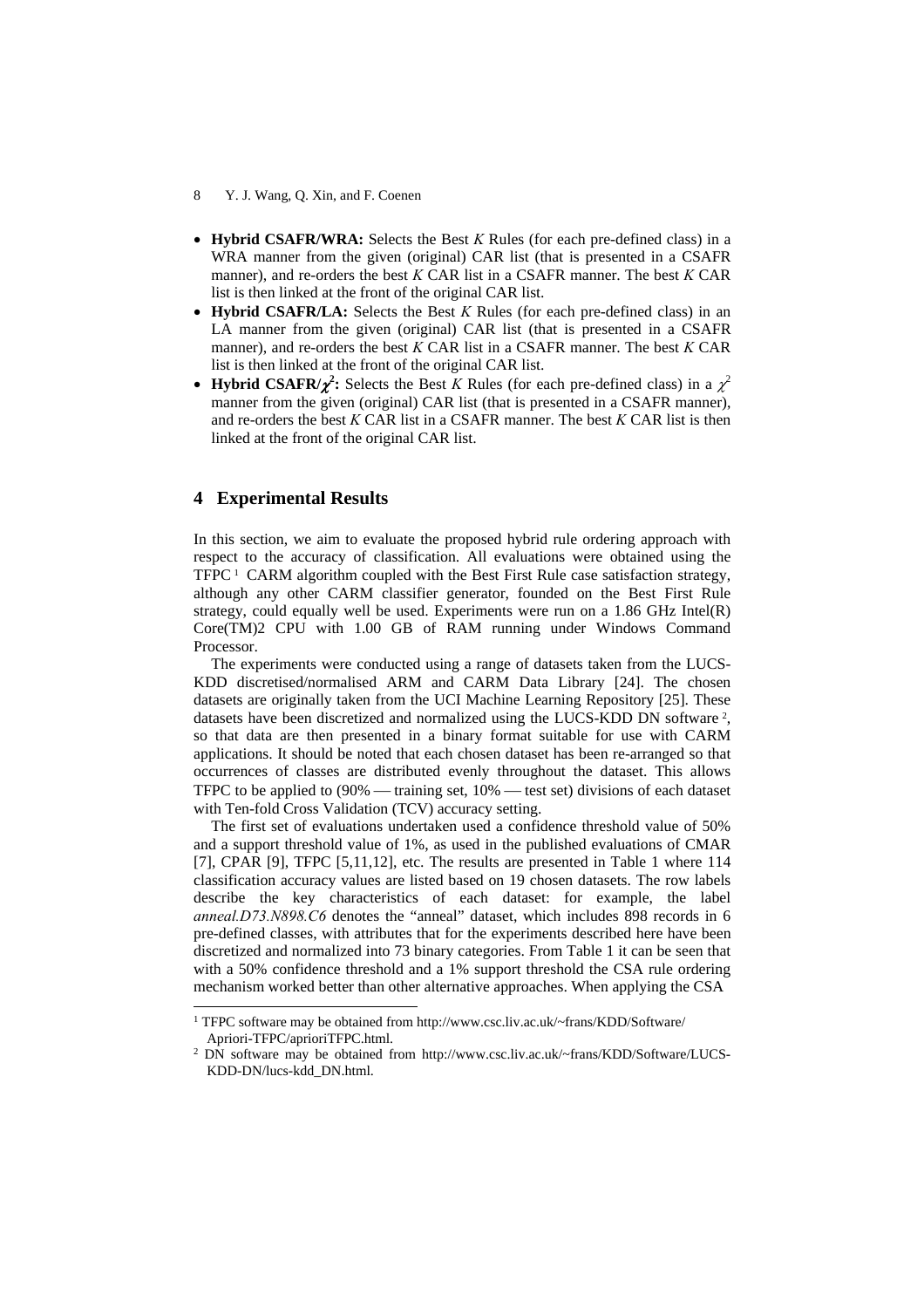- **Hybrid CSAFR/WRA:** Selects the Best *K* Rules (for each pre-defined class) in a WRA manner from the given (original) CAR list (that is presented in a CSAFR manner), and re-orders the best *K* CAR list in a CSAFR manner. The best *K* CAR list is then linked at the front of the original CAR list.
- **Hybrid CSAFR/LA:** Selects the Best *K* Rules (for each pre-defined class) in an LA manner from the given (original) CAR list (that is presented in a CSAFR manner), and re-orders the best *K* CAR list in a CSAFR manner. The best *K* CAR list is then linked at the front of the original CAR list.
- **Hybrid CSAFR/** $\chi^2$ **:** Selects the Best *K* Rules (for each pre-defined class) in a  $\chi^2$ manner from the given (original) CAR list (that is presented in a CSAFR manner), and re-orders the best *K* CAR list in a CSAFR manner. The best *K* CAR list is then linked at the front of the original CAR list.

## **4 Experimental Results**

l

In this section, we aim to evaluate the proposed hybrid rule ordering approach with respect to the accuracy of classification. All evaluations were obtained using the TFPC  $<sup>1</sup>$  CARM algorithm coupled with the Best First Rule case satisfaction strategy,</sup> although any other CARM classifier generator, founded on the Best First Rule strategy, could equally well be used. Experiments were run on a 1.86 GHz Intel(R) Core(TM)2 CPU with 1.00 GB of RAM running under Windows Command Processor.

The experiments were conducted using a range of datasets taken from the LUCS-KDD discretised/normalised ARM and CARM Data Library [\[24\]](#page-13-10). The chosen datasets are originally taken from the UCI Machine Learning Repository [[25\]](#page-13-11). These datasets have been discretized and normalized using the LUCS-KDD DN software [2,](#page-7-1) so that data are then presented in a binary format suitable for use with CARM applications. It should be noted that each chosen dataset has been re-arranged so that occurrences of classes are distributed evenly throughout the dataset. This allows TFPC to be applied to  $(90\% - \text{training set}, 10\% - \text{test set})$  divisions of each dataset with Ten-fold Cross Validation (TCV) accuracy setting.

The first set of evaluations undertaken used a confidence threshold value of 50% and a support threshold value of 1%, as used in the published evaluations of CMAR [\[7\]](#page-12-6), CPAR [\[9\]](#page-12-7), TFPC [[5,](#page-12-4)[11,](#page-12-9)[12\]](#page-12-10), etc. The results are presented in Table 1 where 114 classification accuracy values are listed based on 19 chosen datasets. The row labels describe the key characteristics of each dataset: for example, the label *anneal.D73.N898.C6* denotes the "anneal" dataset, which includes 898 records in 6 pre-defined classes, with attributes that for the experiments described here have been discretized and normalized into 73 binary categories. From Table 1 it can be seen that with a 50% confidence threshold and a 1% support threshold the CSA rule ordering mechanism worked better than other alternative approaches. When applying the CSA

<span id="page-7-0"></span><sup>1</sup> TFPC software may be obtained from http://www.csc.liv.ac.uk/~frans/KDD/Software/

<span id="page-7-1"></span>Apriori-TFPC/aprioriTFPC.html.<br><sup>2</sup> DN software may be obtained from http://www.csc.liv.ac.uk/~frans/KDD/Software/LUCS-KDD-DN/lucs-kdd\_DN.html.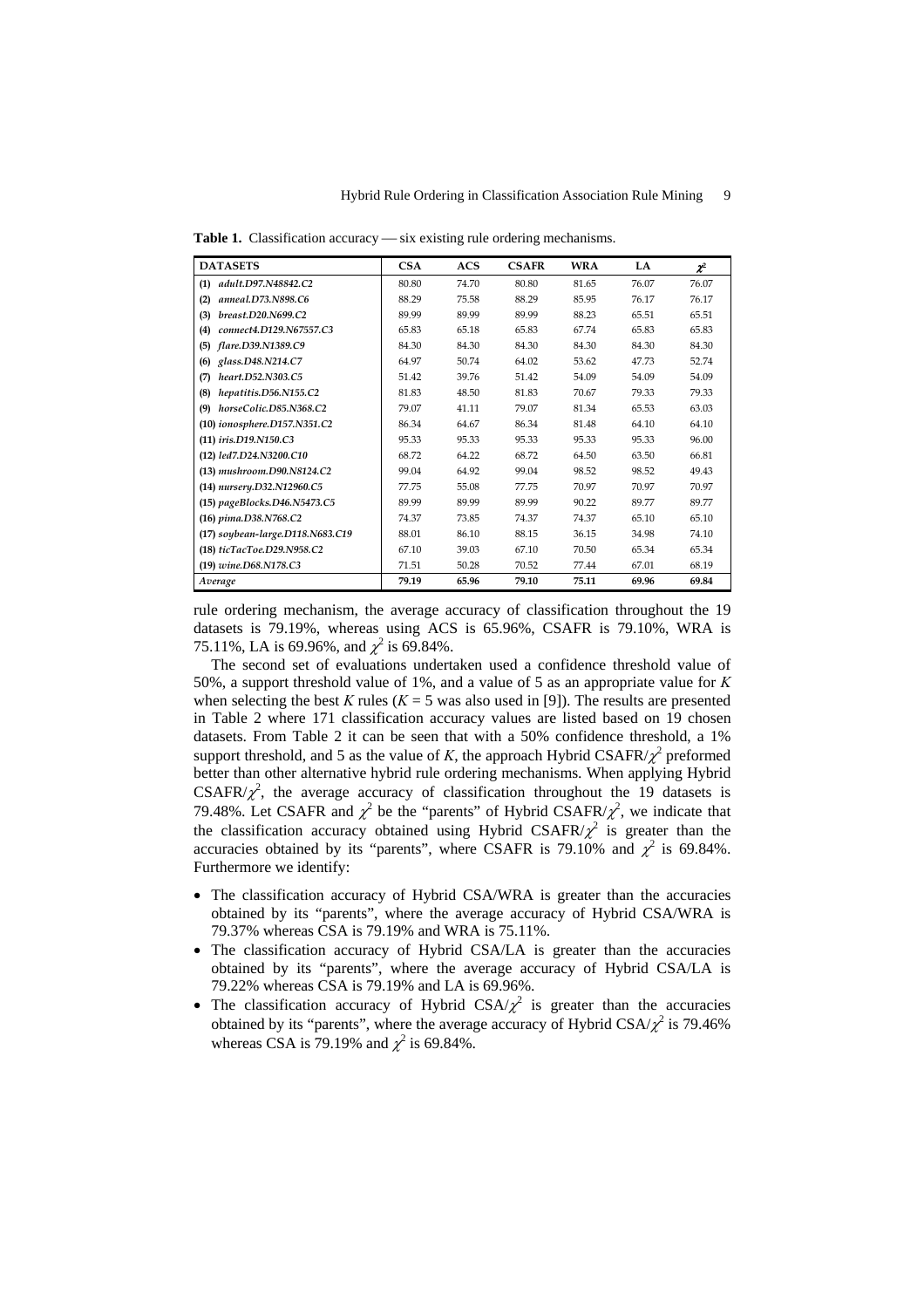| <b>DATASETS</b>                  | <b>CSA</b> | <b>ACS</b> | <b>CSAFR</b> | <b>WRA</b> | LA    | $\chi^2$ |
|----------------------------------|------------|------------|--------------|------------|-------|----------|
| adult.D97.N48842.C2<br>(1)       | 80.80      | 74.70      | 80.80        | 81.65      | 76.07 | 76.07    |
| anneal.D73.N898.C6<br>(2)        | 88.29      | 75.58      | 88.29        | 85.95      | 76.17 | 76.17    |
| breast.D20.N699.C2<br>(3)        | 89.99      | 89.99      | 89.99        | 88.23      | 65.51 | 65.51    |
| connect4.D129.N67557.C3<br>(4)   | 65.83      | 65.18      | 65.83        | 67.74      | 65.83 | 65.83    |
| flare.D39.N1389.C9<br>(5)        | 84.30      | 84.30      | 84.30        | 84.30      | 84.30 | 84.30    |
| glass.D48.N214.C7<br>(6)         | 64.97      | 50.74      | 64.02        | 53.62      | 47.73 | 52.74    |
| heart.D52.N303.C5<br>(7)         | 51.42      | 39.76      | 51.42        | 54.09      | 54.09 | 54.09    |
| hepatitis.D56.N155.C2<br>(8)     | 81.83      | 48.50      | 81.83        | 70.67      | 79.33 | 79.33    |
| horseColic.D85.N368.C2<br>(9)    | 79.07      | 41.11      | 79.07        | 81.34      | 65.53 | 63.03    |
| (10) ionosphere.D157.N351.C2     | 86.34      | 64.67      | 86.34        | 81.48      | 64.10 | 64.10    |
| (11) iris.D19.N150.C3            | 95.33      | 95.33      | 95.33        | 95.33      | 95.33 | 96.00    |
| (12) led7.D24.N3200.C10          | 68.72      | 64.22      | 68.72        | 64.50      | 63.50 | 66.81    |
| (13) mushroom.D90.N8124.C2       | 99.04      | 64.92      | 99.04        | 98.52      | 98.52 | 49.43    |
| (14) nursery.D32.N12960.C5       | 77.75      | 55.08      | 77.75        | 70.97      | 70.97 | 70.97    |
| (15) pageBlocks.D46.N5473.C5     | 89.99      | 89.99      | 89.99        | 90.22      | 89.77 | 89.77    |
| (16) pima.D38.N768.C2            | 74.37      | 73.85      | 74.37        | 74.37      | 65.10 | 65.10    |
| (17) soybean-large.D118.N683.C19 | 88.01      | 86.10      | 88.15        | 36.15      | 34.98 | 74.10    |
| (18) ticTacToe.D29.N958.C2       | 67.10      | 39.03      | 67.10        | 70.50      | 65.34 | 65.34    |
| (19) wine.D68.N178.C3            | 71.51      | 50.28      | 70.52        | 77.44      | 67.01 | 68.19    |
| Average                          | 79.19      | 65.96      | 79.10        | 75.11      | 69.96 | 69.84    |

**Table 1.** Classification accuracy — six existing rule ordering mechanisms.

rule ordering mechanism, the average accuracy of classification throughout the 19 datasets is 79.19%, whereas using ACS is 65.96%, CSAFR is 79.10%, WRA is 75.11%, LA is 69.96%, and  $\chi^2$  is 69.84%.

The second set of evaluations undertaken used a confidence threshold value of 50%, a support threshold value of 1%, and a value of 5 as an appropriate value for *K* when selecting the best *K* rules ( $K = 5$  was also used in [[9\]](#page-12-7)). The results are presented in Table 2 where 171 classification accuracy values are listed based on 19 chosen datasets. From Table 2 it can be seen that with a 50% confidence threshold, a 1% support threshold, and 5 as the value of *K*, the approach Hybrid CSAFR/ $\chi^2$  preformed better than other alternative hybrid rule ordering mechanisms. When applying Hybrid CSAFR/ $\chi^2$ , the average accuracy of classification throughout the 19 datasets is 79.48%. Let CSAFR and  $\chi^2$  be the "parents" of Hybrid CSAFR/ $\chi^2$ , we indicate that the classification accuracy obtained using Hybrid CSAFR/ $\chi^2$  is greater than the accuracies obtained by its "parents", where CSAFR is 79.10% and  $\chi^2$  is 69.84%. Furthermore we identify:

- The classification accuracy of Hybrid CSA/WRA is greater than the accuracies obtained by its "parents", where the average accuracy of Hybrid CSA/WRA is 79.37% whereas CSA is 79.19% and WRA is 75.11%.
- The classification accuracy of Hybrid CSA/LA is greater than the accuracies obtained by its "parents", where the average accuracy of Hybrid CSA/LA is 79.22% whereas CSA is 79.19% and LA is 69.96%.
- The classification accuracy of Hybrid  $CSA/\chi^2$  is greater than the accuracies obtained by its "parents", where the average accuracy of Hybrid  $CSA/\chi^2$  is 79.46% whereas CSA is 79.19% and  $\chi^2$  is 69.84%.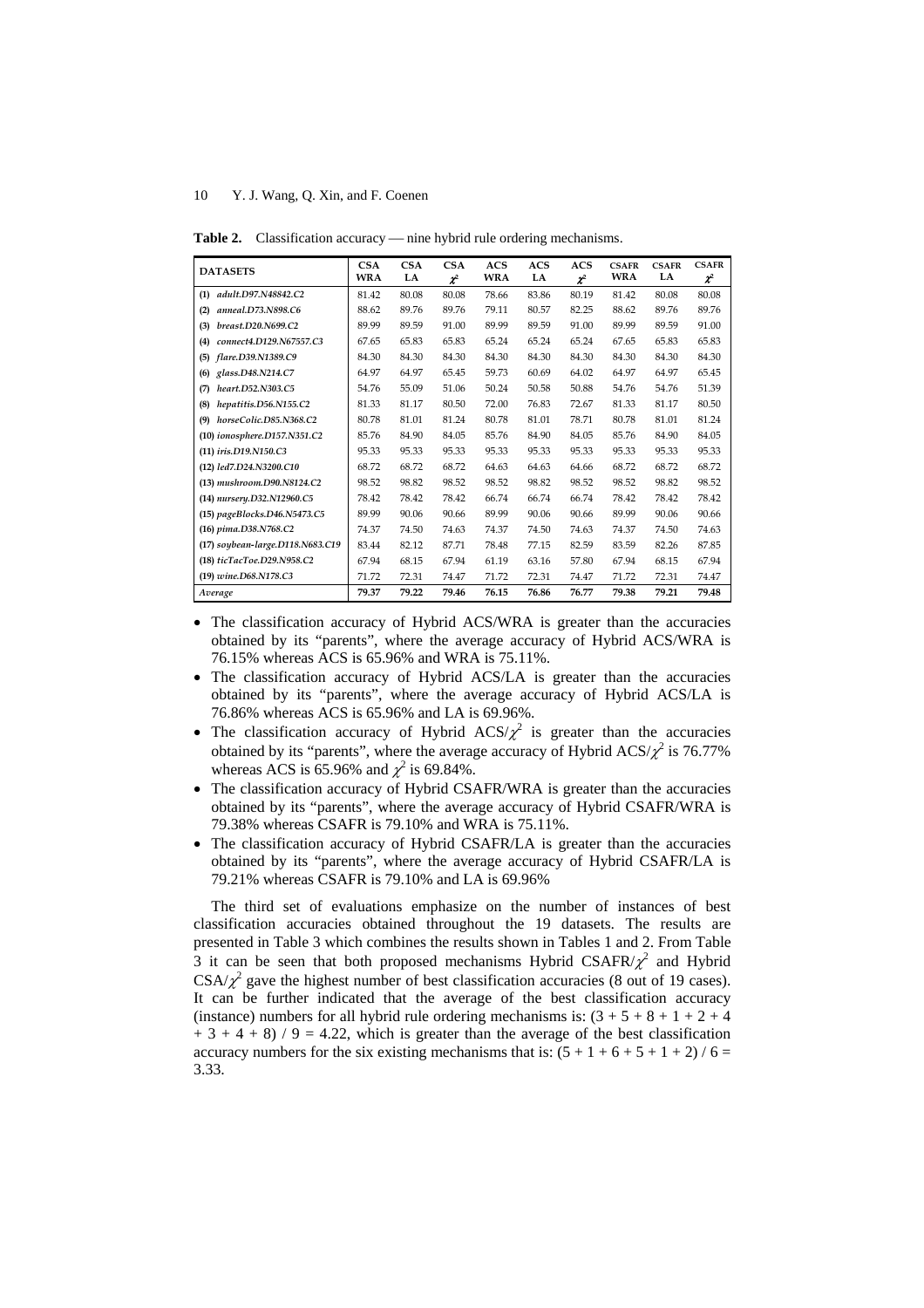**Table 2.** Classification accuracy — nine hybrid rule ordering mechanisms.

| <b>DATASETS</b>                  | <b>CSA</b><br><b>WRA</b> | <b>CSA</b><br>LA | <b>CSA</b><br>$\pmb{\chi}^2$ | <b>ACS</b><br><b>WRA</b> | <b>ACS</b><br>LA | <b>ACS</b><br>$\chi^2$ | <b>CSAFR</b><br><b>WRA</b> | <b>CSAFR</b><br>LA | <b>CSAFR</b><br>$\pmb{\mathcal{X}}^2$ |
|----------------------------------|--------------------------|------------------|------------------------------|--------------------------|------------------|------------------------|----------------------------|--------------------|---------------------------------------|
| adult.D97.N48842.C2<br>(1)       | 81.42                    | 80.08            | 80.08                        | 78.66                    | 83.86            | 80.19                  | 81.42                      | 80.08              | 80.08                                 |
| anneal.D73.N898.C6<br>(2)        | 88.62                    | 89.76            | 89.76                        | 79.11                    | 80.57            | 82.25                  | 88.62                      | 89.76              | 89.76                                 |
| breast.D20.N699.C2<br>(3)        | 89.99                    | 89.59            | 91.00                        | 89.99                    | 89.59            | 91.00                  | 89.99                      | 89.59              | 91.00                                 |
| connect4.D129.N67557.C3<br>(4)   | 67.65                    | 65.83            | 65.83                        | 65.24                    | 65.24            | 65.24                  | 67.65                      | 65.83              | 65.83                                 |
| flare.D39.N1389.C9<br>(5)        | 84.30                    | 84.30            | 84.30                        | 84.30                    | 84.30            | 84.30                  | 84.30                      | 84.30              | 84.30                                 |
| glass.D48.N214.C7<br>(6)         | 64.97                    | 64.97            | 65.45                        | 59.73                    | 60.69            | 64.02                  | 64.97                      | 64.97              | 65.45                                 |
| heart.D52.N303.C5<br>(7)         | 54.76                    | 55.09            | 51.06                        | 50.24                    | 50.58            | 50.88                  | 54.76                      | 54.76              | 51.39                                 |
| hepatitis.D56.N155.C2<br>(8)     | 81.33                    | 81.17            | 80.50                        | 72.00                    | 76.83            | 72.67                  | 81.33                      | 81.17              | 80.50                                 |
| horseColic.D85.N368.C2<br>(9)    | 80.78                    | 81.01            | 81.24                        | 80.78                    | 81.01            | 78.71                  | 80.78                      | 81.01              | 81.24                                 |
| (10) ionosphere.D157.N351.C2     | 85.76                    | 84.90            | 84.05                        | 85.76                    | 84.90            | 84.05                  | 85.76                      | 84.90              | 84.05                                 |
| $(11)$ iris.D19.N150.C3          | 95.33                    | 95.33            | 95.33                        | 95.33                    | 95.33            | 95.33                  | 95.33                      | 95.33              | 95.33                                 |
| (12) led7.D24.N3200.C10          | 68.72                    | 68.72            | 68.72                        | 64.63                    | 64.63            | 64.66                  | 68.72                      | 68.72              | 68.72                                 |
| (13) mushroom.D90.N8124.C2       | 98.52                    | 98.82            | 98.52                        | 98.52                    | 98.82            | 98.52                  | 98.52                      | 98.82              | 98.52                                 |
| (14) nursery.D32.N12960.C5       | 78.42                    | 78.42            | 78.42                        | 66.74                    | 66.74            | 66.74                  | 78.42                      | 78.42              | 78.42                                 |
| (15) pageBlocks.D46.N5473.C5     | 89.99                    | 90.06            | 90.66                        | 89.99                    | 90.06            | 90.66                  | 89.99                      | 90.06              | 90.66                                 |
| (16) pima.D38.N768.C2            | 74.37                    | 74.50            | 74.63                        | 74.37                    | 74.50            | 74.63                  | 74.37                      | 74.50              | 74.63                                 |
| (17) soybean-large.D118.N683.C19 | 83.44                    | 82.12            | 87.71                        | 78.48                    | 77.15            | 82.59                  | 83.59                      | 82.26              | 87.85                                 |
| (18) ticTacToe.D29.N958.C2       | 67.94                    | 68.15            | 67.94                        | 61.19                    | 63.16            | 57.80                  | 67.94                      | 68.15              | 67.94                                 |
| (19) wine.D68.N178.C3            | 71.72                    | 72.31            | 74.47                        | 71.72                    | 72.31            | 74.47                  | 71.72                      | 72.31              | 74.47                                 |
| Average                          | 79.37                    | 79.22            | 79.46                        | 76.15                    | 76.86            | 76.77                  | 79.38                      | 79.21              | 79.48                                 |

- The classification accuracy of Hybrid ACS/WRA is greater than the accuracies obtained by its "parents", where the average accuracy of Hybrid ACS/WRA is 76.15% whereas ACS is 65.96% and WRA is 75.11%.
- The classification accuracy of Hybrid ACS/LA is greater than the accuracies obtained by its "parents", where the average accuracy of Hybrid ACS/LA is 76.86% whereas ACS is 65.96% and LA is 69.96%.
- The classification accuracy of Hybrid  $ACS/\chi^2$  is greater than the accuracies obtained by its "parents", where the average accuracy of Hybrid  $\text{ACS}/\chi^2$  is 76.77% whereas ACS is 65.96% and  $\chi^2$  is 69.84%.
- The classification accuracy of Hybrid CSAFR/WRA is greater than the accuracies obtained by its "parents", where the average accuracy of Hybrid CSAFR/WRA is 79.38% whereas CSAFR is 79.10% and WRA is 75.11%.
- The classification accuracy of Hybrid CSAFR/LA is greater than the accuracies obtained by its "parents", where the average accuracy of Hybrid CSAFR/LA is 79.21% whereas CSAFR is 79.10% and LA is 69.96%

The third set of evaluations emphasize on the number of instances of best classification accuracies obtained throughout the 19 datasets. The results are presented in Table 3 which combines the results shown in Tables 1 and 2. From Table 3 it can be seen that both proposed mechanisms Hybrid CSAFR/ $\chi^2$  and Hybrid  $CSA/\chi^2$  gave the highest number of best classification accuracies (8 out of 19 cases). It can be further indicated that the average of the best classification accuracy (instance) numbers for all hybrid rule ordering mechanisms is:  $(3 + 5 + 8 + 1 + 2 + 4)$  $+ 3 + 4 + 8$ ) / 9 = 4.22, which is greater than the average of the best classification accuracy numbers for the six existing mechanisms that is:  $(5 + 1 + 6 + 5 + 1 + 2)$  / 6 = 3.33.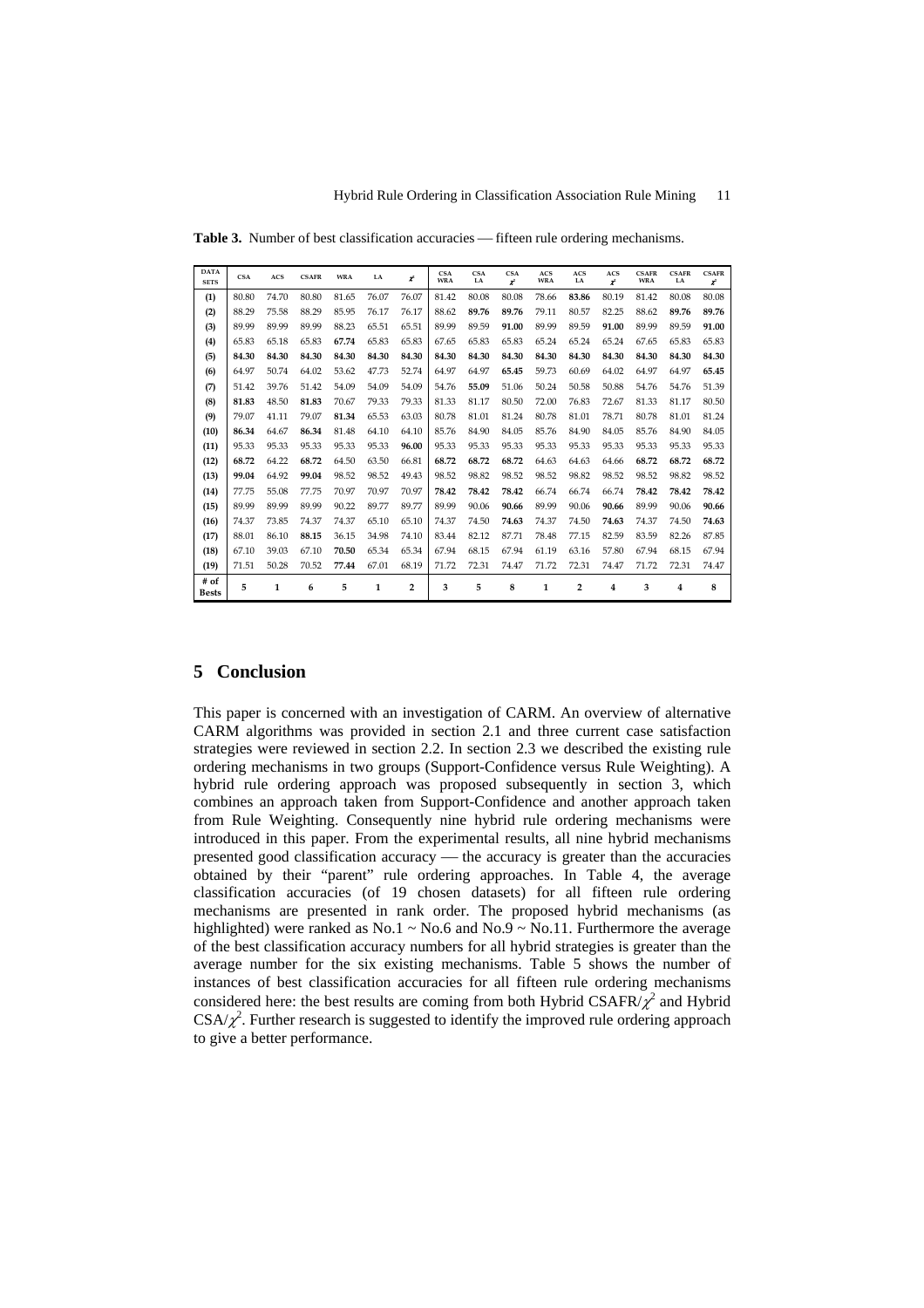| <b>DATA</b><br><b>SETS</b> | <b>CSA</b> | <b>ACS</b> | <b>CSAFR</b> | <b>WRA</b> | LA    | ř     | <b>CSA</b><br><b>WRA</b> | <b>CSA</b><br>LA | <b>CSA</b><br>ř | <b>ACS</b><br><b>WRA</b> | <b>ACS</b><br>LA | <b>ACS</b><br>ř | <b>CSAFR</b><br><b>WRA</b> | <b>CSAFR</b><br>LA | <b>CSAFR</b><br>$\boldsymbol{x}^2$ |
|----------------------------|------------|------------|--------------|------------|-------|-------|--------------------------|------------------|-----------------|--------------------------|------------------|-----------------|----------------------------|--------------------|------------------------------------|
| (1)                        | 80.80      | 74.70      | 80.80        | 81.65      | 76.07 | 76.07 | 81.42                    | 80.08            | 80.08           | 78.66                    | 83.86            | 80.19           | 81.42                      | 80.08              | 80.08                              |
| (2)                        | 88.29      | 75.58      | 88.29        | 85.95      | 76.17 | 76.17 | 88.62                    | 89.76            | 89.76           | 79.11                    | 80.57            | 82.25           | 88.62                      | 89.76              | 89.76                              |
| (3)                        | 89.99      | 89.99      | 89.99        | 88.23      | 65.51 | 65.51 | 89.99                    | 89.59            | 91.00           | 89.99                    | 89.59            | 91.00           | 89.99                      | 89.59              | 91.00                              |
| (4)                        | 65.83      | 65.18      | 65.83        | 67.74      | 65.83 | 65.83 | 67.65                    | 65.83            | 65.83           | 65.24                    | 65.24            | 65.24           | 67.65                      | 65.83              | 65.83                              |
| (5)                        | 84.30      | 84.30      | 84.30        | 84.30      | 84.30 | 84.30 | 84.30                    | 84.30            | 84.30           | 84.30                    | 84.30            | 84.30           | 84.30                      | 84.30              | 84.30                              |
| (6)                        | 64.97      | 50.74      | 64.02        | 53.62      | 47.73 | 52.74 | 64.97                    | 64.97            | 65.45           | 59.73                    | 60.69            | 64.02           | 64.97                      | 64.97              | 65.45                              |
| (7)                        | 51.42      | 39.76      | 51.42        | 54.09      | 54.09 | 54.09 | 54.76                    | 55.09            | 51.06           | 50.24                    | 50.58            | 50.88           | 54.76                      | 54.76              | 51.39                              |
| (8)                        | 81.83      | 48.50      | 81.83        | 70.67      | 79.33 | 79.33 | 81.33                    | 81.17            | 80.50           | 72.00                    | 76.83            | 72.67           | 81.33                      | 81.17              | 80.50                              |
| (9)                        | 79.07      | 41.11      | 79.07        | 81.34      | 65.53 | 63.03 | 80.78                    | 81.01            | 81.24           | 80.78                    | 81.01            | 78.71           | 80.78                      | 81.01              | 81.24                              |
| (10)                       | 86.34      | 64.67      | 86.34        | 81.48      | 64.10 | 64.10 | 85.76                    | 84.90            | 84.05           | 85.76                    | 84.90            | 84.05           | 85.76                      | 84.90              | 84.05                              |
| (11)                       | 95.33      | 95.33      | 95.33        | 95.33      | 95.33 | 96.00 | 95.33                    | 95.33            | 95.33           | 95.33                    | 95.33            | 95.33           | 95.33                      | 95.33              | 95.33                              |
| (12)                       | 68.72      | 64.22      | 68.72        | 64.50      | 63.50 | 66.81 | 68.72                    | 68.72            | 68.72           | 64.63                    | 64.63            | 64.66           | 68.72                      | 68.72              | 68.72                              |
| (13)                       | 99.04      | 64.92      | 99.04        | 98.52      | 98.52 | 49.43 | 98.52                    | 98.82            | 98.52           | 98.52                    | 98.82            | 98.52           | 98.52                      | 98.82              | 98.52                              |
| (14)                       | 77.75      | 55.08      | 77.75        | 70.97      | 70.97 | 70.97 | 78.42                    | 78.42            | 78.42           | 66.74                    | 66.74            | 66.74           | 78.42                      | 78.42              | 78.42                              |
| (15)                       | 89.99      | 89.99      | 89.99        | 90.22      | 89.77 | 89.77 | 89.99                    | 90.06            | 90.66           | 89.99                    | 90.06            | 90.66           | 89.99                      | 90.06              | 90.66                              |
| (16)                       | 74.37      | 73.85      | 74.37        | 74.37      | 65.10 | 65.10 | 74.37                    | 74.50            | 74.63           | 74.37                    | 74.50            | 74.63           | 74.37                      | 74.50              | 74.63                              |
| (17)                       | 88.01      | 86.10      | 88.15        | 36.15      | 34.98 | 74.10 | 83.44                    | 82.12            | 87.71           | 78.48                    | 77.15            | 82.59           | 83.59                      | 82.26              | 87.85                              |
| (18)                       | 67.10      | 39.03      | 67.10        | 70.50      | 65.34 | 65.34 | 67.94                    | 68.15            | 67.94           | 61.19                    | 63.16            | 57.80           | 67.94                      | 68.15              | 67.94                              |
| (19)                       | 71.51      | 50.28      | 70.52        | 77.44      | 67.01 | 68.19 | 71.72                    | 72.31            | 74.47           | 71.72                    | 72.31            | 74.47           | 71.72                      | 72.31              | 74.47                              |
| $#$ of<br><b>Bests</b>     | 5          | 1          | 6            | 5          | 1     | 2     | 3                        | 5                | 8               | 1                        | $\overline{2}$   | 4               | 3                          | 4                  | 8                                  |

**Table 3.** Number of best classification accuracies — fifteen rule ordering mechanisms.

## **5 Conclusion**

This paper is concerned with an investigation of CARM. An overview of alternative CARM algorithms was provided in section 2.1 and three current case satisfaction strategies were reviewed in section 2.2. In section 2.3 we described the existing rule ordering mechanisms in two groups (Support-Confidence versus Rule Weighting). A hybrid rule ordering approach was proposed subsequently in section 3, which combines an approach taken from Support-Confidence and another approach taken from Rule Weighting. Consequently nine hybrid rule ordering mechanisms were introduced in this paper. From the experimental results, all nine hybrid mechanisms presented good classification accuracy — the accuracy is greater than the accuracies obtained by their "parent" rule ordering approaches. In Table 4, the average classification accuracies (of 19 chosen datasets) for all fifteen rule ordering mechanisms are presented in rank order. The proposed hybrid mechanisms (as highlighted) were ranked as  $No.1 \sim No.6$  and  $No.9 \sim No.11$ . Furthermore the average of the best classification accuracy numbers for all hybrid strategies is greater than the average number for the six existing mechanisms. Table 5 shows the number of instances of best classification accuracies for all fifteen rule ordering mechanisms considered here: the best results are coming from both Hybrid CSAFR/ $\chi^2$  and Hybrid  $CSA/\chi^2$ . Further research is suggested to identify the improved rule ordering approach to give a better performance.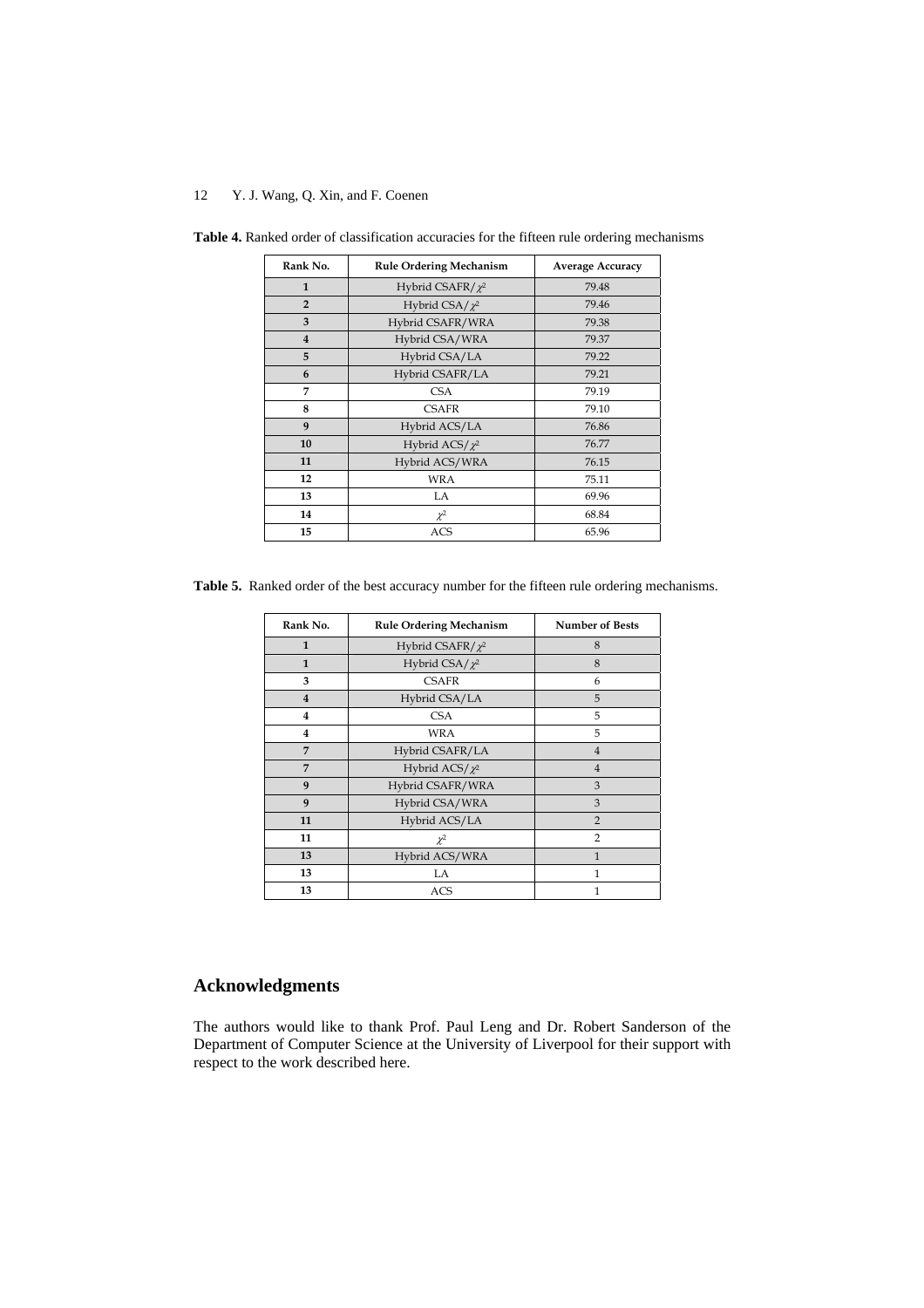| Rank No.       | <b>Rule Ordering Mechanism</b> | <b>Average Accuracy</b> |  |  |  |
|----------------|--------------------------------|-------------------------|--|--|--|
| $\mathbf{1}$   | Hybrid CSAFR/ $\chi^2$         | 79.48                   |  |  |  |
| $\overline{2}$ | Hybrid CSA/ $\chi^2$           | 79.46                   |  |  |  |
| 3              | Hybrid CSAFR/WRA               | 79.38                   |  |  |  |
| $\overline{4}$ | Hybrid CSA/WRA                 | 79.37                   |  |  |  |
| 5              | Hybrid CSA/LA                  | 79.22                   |  |  |  |
| 6              | Hybrid CSAFR/LA                | 79.21                   |  |  |  |
| 7              | <b>CSA</b>                     | 79.19                   |  |  |  |
| 8              | <b>CSAFR</b>                   | 79.10                   |  |  |  |
| 9              | Hybrid ACS/LA                  | 76.86                   |  |  |  |
| 10             | Hybrid ACS/ $\chi^2$           | 76.77                   |  |  |  |
| 11             | Hybrid ACS/WRA                 | 76.15                   |  |  |  |
| 12             | WRA                            | 75.11                   |  |  |  |
| 13             | LA                             | 69.96                   |  |  |  |
| 14             | $\chi^2$                       | 68.84                   |  |  |  |
| 15             | <b>ACS</b>                     | 65.96                   |  |  |  |

**Table 4.** Ranked order of classification accuracies for the fifteen rule ordering mechanisms

|  | <b>Table 5.</b> Ranked order of the best accuracy number for the fifteen rule ordering mechanisms. |
|--|----------------------------------------------------------------------------------------------------|
|--|----------------------------------------------------------------------------------------------------|

| Rank No.     | <b>Rule Ordering Mechanism</b> | <b>Number of Bests</b> |
|--------------|--------------------------------|------------------------|
| $\mathbf{1}$ | Hybrid CSAFR/ $\chi^2$         | 8                      |
| $\mathbf{1}$ | Hybrid CSA/ $\chi^2$           | 8                      |
| 3            | <b>CSAFR</b>                   | 6                      |
| 4            | Hybrid CSA/LA                  | 5                      |
| 4            | <b>CSA</b>                     | 5                      |
| 4            | WRA                            | 5                      |
| 7            | Hybrid CSAFR/LA                | $\overline{4}$         |
| 7            | Hybrid ACS/ $\chi^2$           | $\overline{4}$         |
| 9            | Hybrid CSAFR/WRA               | 3                      |
| 9            | Hybrid CSA/WRA                 | 3                      |
| 11           | Hybrid ACS/LA                  | $\overline{2}$         |
| 11           | $\chi^2$                       | $\overline{2}$         |
| 13           | Hybrid ACS/WRA                 | $\mathbf{1}$           |
| 13           | LA                             | 1                      |
| 13           | ACS                            | 1                      |

# **Acknowledgments**

The authors would like to thank Prof. Paul Leng and Dr. Robert Sanderson of the Department of Computer Science at the University of Liverpool for their support with respect to the work described here.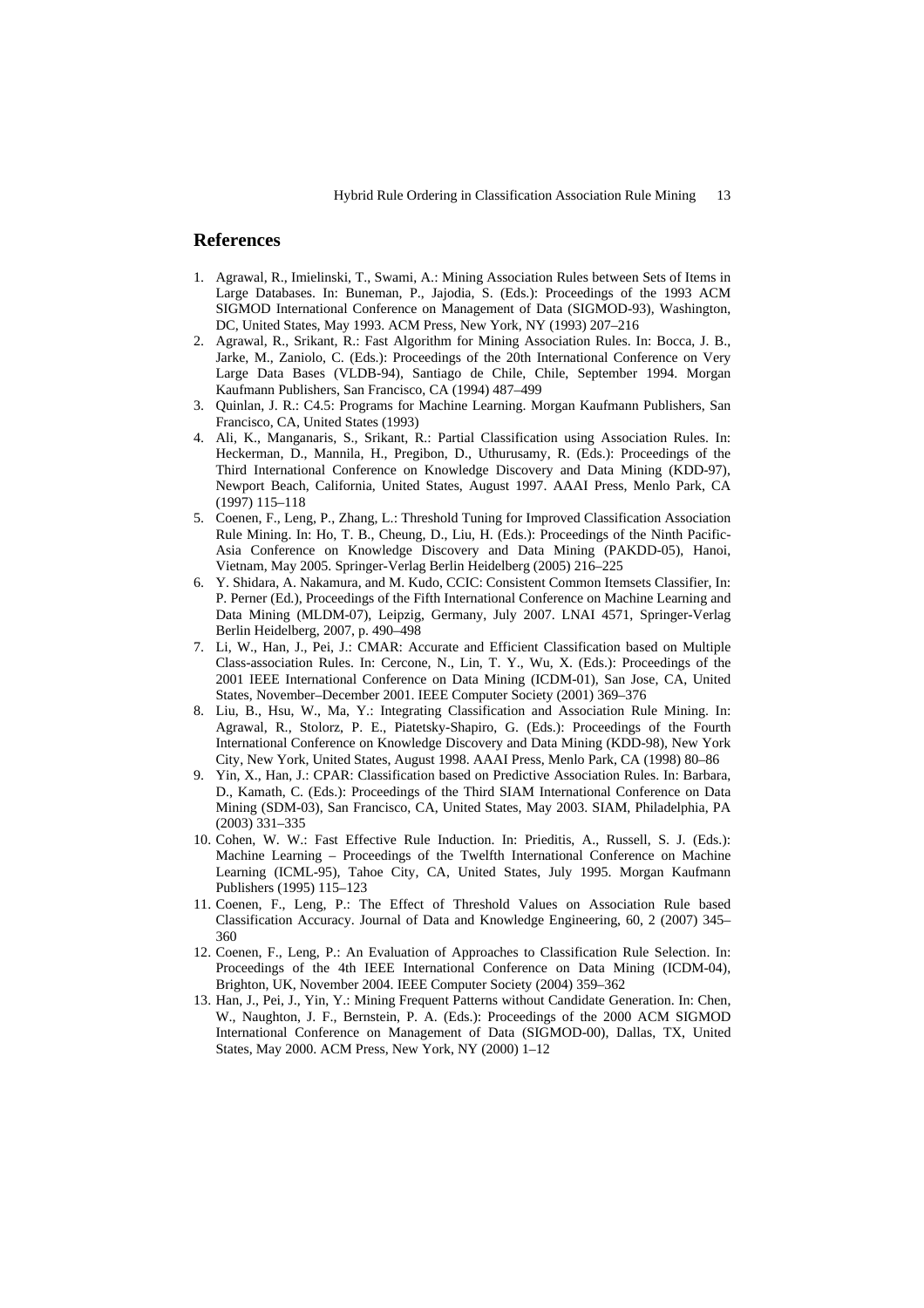### **References**

- <span id="page-12-0"></span>1. Agrawal, R., Imielinski, T., Swami, A.: Mining Association Rules between Sets of Items in Large Databases. In: Buneman, P., Jajodia, S. (Eds.): Proceedings of the 1993 ACM SIGMOD International Conference on Management of Data (SIGMOD-93), Washington, DC, United States, May 1993. ACM Press, New York, NY (1993) 207–216
- <span id="page-12-1"></span>2. Agrawal, R., Srikant, R.: Fast Algorithm for Mining Association Rules. In: Bocca, J. B., Jarke, M., Zaniolo, C. (Eds.): Proceedings of the 20th International Conference on Very Large Data Bases (VLDB-94), Santiago de Chile, Chile, September 1994. Morgan Kaufmann Publishers, San Francisco, CA (1994) 487–499
- <span id="page-12-2"></span>3. Quinlan, J. R.: C4.5: Programs for Machine Learning. Morgan Kaufmann Publishers, San Francisco, CA, United States (1993)
- <span id="page-12-3"></span>4. Ali, K., Manganaris, S., Srikant, R.: Partial Classification using Association Rules. In: Heckerman, D., Mannila, H., Pregibon, D., Uthurusamy, R. (Eds.): Proceedings of the Third International Conference on Knowledge Discovery and Data Mining (KDD-97), Newport Beach, California, United States, August 1997. AAAI Press, Menlo Park, CA (1997) 115–118
- <span id="page-12-4"></span>5. Coenen, F., Leng, P., Zhang, L.: Threshold Tuning for Improved Classification Association Rule Mining. In: Ho, T. B., Cheung, D., Liu, H. (Eds.): Proceedings of the Ninth Pacific-Asia Conference on Knowledge Discovery and Data Mining (PAKDD-05), Hanoi, Vietnam, May 2005. Springer-Verlag Berlin Heidelberg (2005) 216–225
- <span id="page-12-5"></span>6. Y. Shidara, A. Nakamura, and M. Kudo, CCIC: Consistent Common Itemsets Classifier, In: P. Perner (Ed.), Proceedings of the Fifth International Conference on Machine Learning and Data Mining (MLDM-07), Leipzig, Germany, July 2007. LNAI 4571, Springer-Verlag Berlin Heidelberg, 2007, p. 490–498
- <span id="page-12-6"></span>7. Li, W., Han, J., Pei, J.: CMAR: Accurate and Efficient Classification based on Multiple Class-association Rules. In: Cercone, N., Lin, T. Y., Wu, X. (Eds.): Proceedings of the 2001 IEEE International Conference on Data Mining (ICDM-01), San Jose, CA, United States, November–December 2001. IEEE Computer Society (2001) 369–376
- <span id="page-12-11"></span>8. Liu, B., Hsu, W., Ma, Y.: Integrating Classification and Association Rule Mining. In: Agrawal, R., Stolorz, P. E., Piatetsky-Shapiro, G. (Eds.): Proceedings of the Fourth International Conference on Knowledge Discovery and Data Mining (KDD-98), New York City, New York, United States, August 1998. AAAI Press, Menlo Park, CA (1998) 80–86
- <span id="page-12-7"></span>9. Yin, X., Han, J.: CPAR: Classification based on Predictive Association Rules. In: Barbara, D., Kamath, C. (Eds.): Proceedings of the Third SIAM International Conference on Data Mining (SDM-03), San Francisco, CA, United States, May 2003. SIAM, Philadelphia, PA (2003) 331–335
- <span id="page-12-8"></span>10. Cohen, W. W.: Fast Effective Rule Induction. In: Prieditis, A., Russell, S. J. (Eds.): Machine Learning – Proceedings of the Twelfth International Conference on Machine Learning (ICML-95), Tahoe City, CA, United States, July 1995. Morgan Kaufmann Publishers (1995) 115–123
- <span id="page-12-9"></span>11. Coenen, F., Leng, P.: The Effect of Threshold Values on Association Rule based Classification Accuracy. Journal of Data and Knowledge Engineering, 60, 2 (2007) 345– 360
- <span id="page-12-10"></span>12. Coenen, F., Leng, P.: An Evaluation of Approaches to Classification Rule Selection. In: Proceedings of the 4th IEEE International Conference on Data Mining (ICDM-04), Brighton, UK, November 2004. IEEE Computer Society (2004) 359–362
- <span id="page-12-12"></span>13. Han, J., Pei, J., Yin, Y.: Mining Frequent Patterns without Candidate Generation. In: Chen, W., Naughton, J. F., Bernstein, P. A. (Eds.): Proceedings of the 2000 ACM SIGMOD International Conference on Management of Data (SIGMOD-00), Dallas, TX, United States, May 2000. ACM Press, New York, NY (2000) 1–12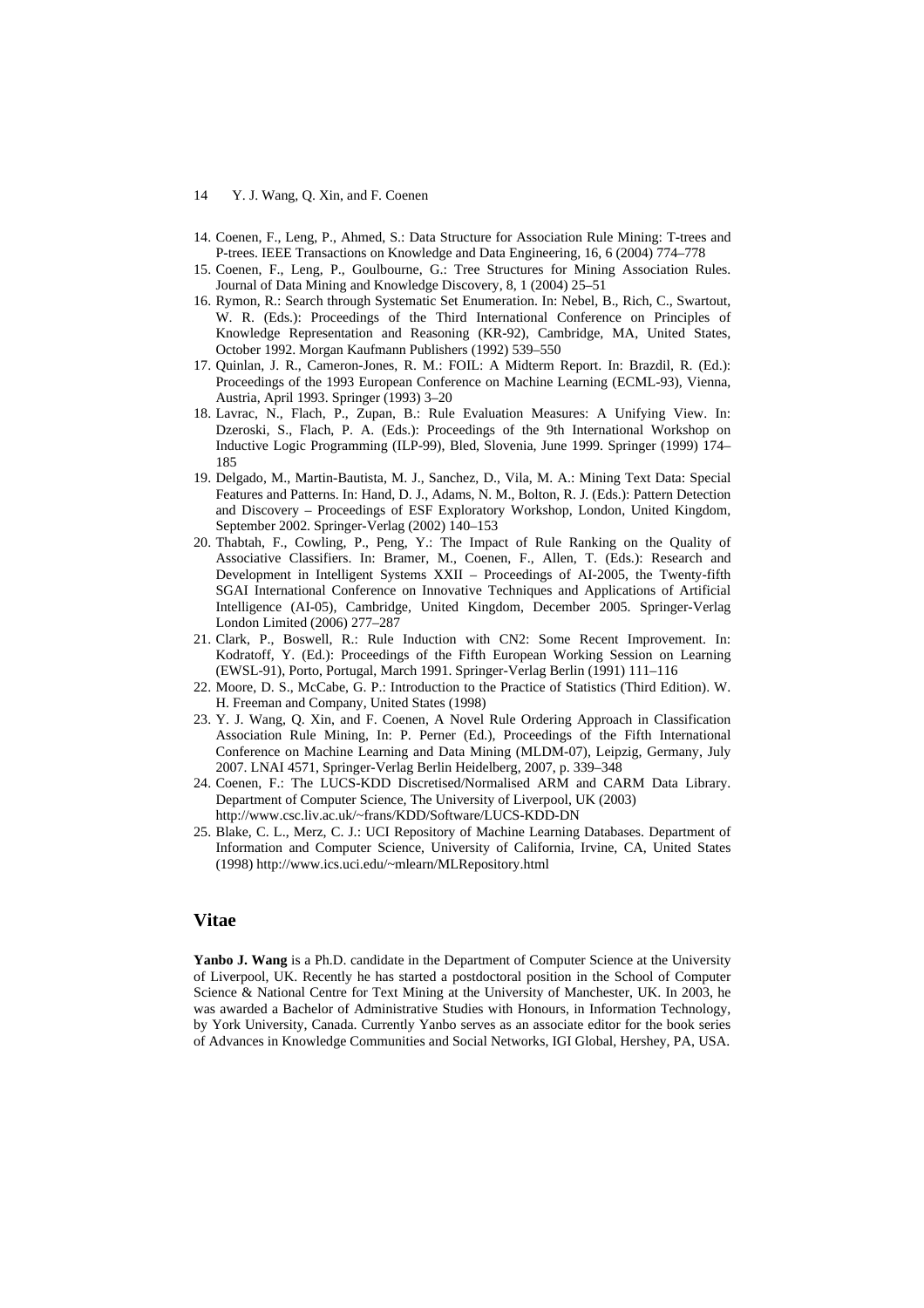- <span id="page-13-0"></span>14. Coenen, F., Leng, P., Ahmed, S.: Data Structure for Association Rule Mining: T-trees and P-trees. IEEE Transactions on Knowledge and Data Engineering, 16, 6 (2004) 774–778
- <span id="page-13-1"></span>15. Coenen, F., Leng, P., Goulbourne, G.: Tree Structures for Mining Association Rules. Journal of Data Mining and Knowledge Discovery, 8, 1 (2004) 25–51
- <span id="page-13-2"></span>16. Rymon, R.: Search through Systematic Set Enumeration. In: Nebel, B., Rich, C., Swartout, W. R. (Eds.): Proceedings of the Third International Conference on Principles of Knowledge Representation and Reasoning (KR-92), Cambridge, MA, United States, October 1992. Morgan Kaufmann Publishers (1992) 539–550
- <span id="page-13-3"></span>17. Quinlan, J. R., Cameron-Jones, R. M.: FOIL: A Midterm Report. In: Brazdil, R. (Ed.): Proceedings of the 1993 European Conference on Machine Learning (ECML-93), Vienna, Austria, April 1993. Springer (1993) 3–20
- <span id="page-13-4"></span>18. Lavrac, N., Flach, P., Zupan, B.: Rule Evaluation Measures: A Unifying View. In: Dzeroski, S., Flach, P. A. (Eds.): Proceedings of the 9th International Workshop on Inductive Logic Programming (ILP-99), Bled, Slovenia, June 1999. Springer (1999) 174– 185
- <span id="page-13-5"></span>19. Delgado, M., Martin-Bautista, M. J., Sanchez, D., Vila, M. A.: Mining Text Data: Special Features and Patterns. In: Hand, D. J., Adams, N. M., Bolton, R. J. (Eds.): Pattern Detection and Discovery – Proceedings of ESF Exploratory Workshop, London, United Kingdom, September 2002. Springer-Verlag (2002) 140–153
- <span id="page-13-6"></span>20. Thabtah, F., Cowling, P., Peng, Y.: The Impact of Rule Ranking on the Quality of Associative Classifiers. In: Bramer, M., Coenen, F., Allen, T. (Eds.): Research and Development in Intelligent Systems XXII – Proceedings of AI-2005, the Twenty-fifth SGAI International Conference on Innovative Techniques and Applications of Artificial Intelligence (AI-05), Cambridge, United Kingdom, December 2005. Springer-Verlag London Limited (2006) 277–287
- <span id="page-13-7"></span>21. Clark, P., Boswell, R.: Rule Induction with CN2: Some Recent Improvement. In: Kodratoff, Y. (Ed.): Proceedings of the Fifth European Working Session on Learning (EWSL-91), Porto, Portugal, March 1991. Springer-Verlag Berlin (1991) 111–116
- <span id="page-13-8"></span>22. Moore, D. S., McCabe, G. P.: Introduction to the Practice of Statistics (Third Edition). W. H. Freeman and Company, United States (1998)
- <span id="page-13-9"></span>23. Y. J. Wang, Q. Xin, and F. Coenen, A Novel Rule Ordering Approach in Classification Association Rule Mining, In: P. Perner (Ed.), Proceedings of the Fifth International Conference on Machine Learning and Data Mining (MLDM-07), Leipzig, Germany, July 2007. LNAI 4571, Springer-Verlag Berlin Heidelberg, 2007, p. 339–348
- <span id="page-13-10"></span>24. Coenen, F.: The LUCS-KDD Discretised/Normalised ARM and CARM Data Library. Department of Computer Science, The University of Liverpool, UK (2003) http://www.csc.liv.ac.uk/~frans/KDD/Software/LUCS-KDD-DN
- <span id="page-13-11"></span>25. Blake, C. L., Merz, C. J.: UCI Repository of Machine Learning Databases. Department of Information and Computer Science, University of California, Irvine, CA, United States (1998) http://www.ics.uci.edu/~mlearn/MLRepository.html

## **Vitae**

**Yanbo J. Wang** is a Ph.D. candidate in the Department of Computer Science at the University of Liverpool, UK. Recently he has started a postdoctoral position in the School of Computer Science & National Centre for Text Mining at the University of Manchester, UK. In 2003, he was awarded a Bachelor of Administrative Studies with Honours, in Information Technology, by York University, Canada. Currently Yanbo serves as an associate editor for the book series of Advances in Knowledge Communities and Social Networks, IGI Global, Hershey, PA, USA.